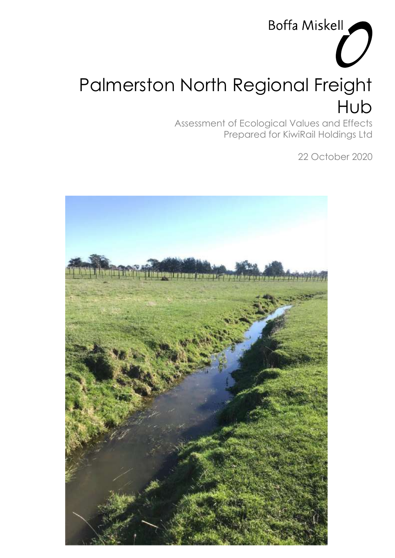# Palmerston North Regional Freight Hub

Assessment of Ecological Values and Effects Prepared for KiwiRail Holdings Ltd

22 October 2020

Boffa Miskell

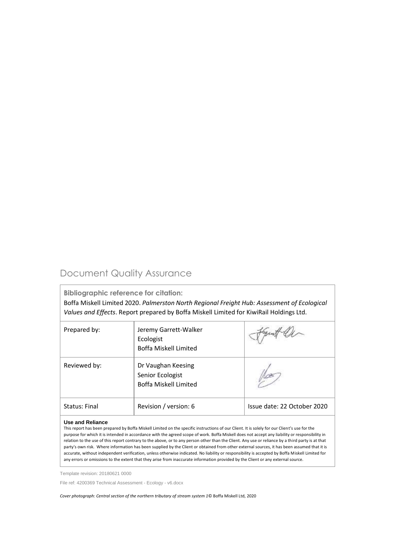# Document Quality Assurance

**Bibliographic reference for citation:**

Boffa Miskell Limited 2020. *Palmerston North Regional Freight Hub: Assessment of Ecological Values and Effects*. Report prepared by Boffa Miskell Limited for KiwiRail Holdings Ltd.

| Prepared by:  | Jeremy Garrett-Walker<br>Ecologist<br>Boffa Miskell Limited            |                             |
|---------------|------------------------------------------------------------------------|-----------------------------|
| Reviewed by:  | Dr Vaughan Keesing<br>Senior Ecologist<br><b>Boffa Miskell Limited</b> |                             |
| Status: Final | Revision / version: 6                                                  | Issue date: 22 October 2020 |

#### **Use and Reliance**

This report has been prepared by Boffa Miskell Limited on the specific instructions of our Client. It is solely for our Client's use for the purpose for which it is intended in accordance with the agreed scope of work. Boffa Miskell does not accept any liability or responsibility in relation to the use of this report contrary to the above, or to any person other than the Client. Any use or reliance by a third party is at that party's own risk. Where information has been supplied by the Client or obtained from other external sources, it has been assumed that it is accurate, without independent verification, unless otherwise indicated. No liability or responsibility is accepted by Boffa Miskell Limited for any errors or omissions to the extent that they arise from inaccurate information provided by the Client or any external source.

Template revision: 20180621 0000

File ref: 4200369 Technical Assessment - Ecology - v6.docx

*Cover photograph: Central section of the northern tributary of stream system 1*© Boffa Miskell Ltd, 2020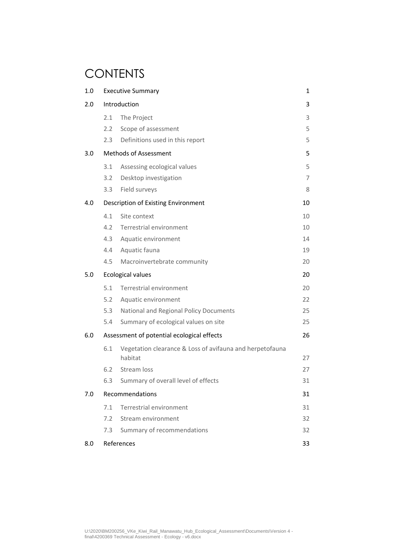# **CONTENTS**

| 1.0 | <b>Executive Summary</b> |                                                                     | 1  |
|-----|--------------------------|---------------------------------------------------------------------|----|
| 2.0 |                          | Introduction                                                        | 3  |
|     | 2.1                      | The Project                                                         | 3  |
|     | 2.2                      | Scope of assessment                                                 | 5  |
|     | $2.3 -$                  | Definitions used in this report                                     | 5  |
| 3.0 |                          | <b>Methods of Assessment</b>                                        | 5  |
|     | 3.1                      | Assessing ecological values                                         | 5  |
|     | 3.2                      | Desktop investigation                                               | 7  |
|     | 3.3                      | Field surveys                                                       | 8  |
| 4.0 |                          | Description of Existing Environment                                 | 10 |
|     | 4.1                      | Site context                                                        | 10 |
|     | 4.2                      | Terrestrial environment                                             | 10 |
|     | 4.3                      | Aquatic environment                                                 | 14 |
|     | 4.4                      | Aquatic fauna                                                       | 19 |
|     | 4.5                      | Macroinvertebrate community                                         | 20 |
| 5.0 |                          | <b>Ecological values</b>                                            | 20 |
|     | 5.1                      | Terrestrial environment                                             | 20 |
|     | 5.2                      | Aquatic environment                                                 | 22 |
|     | 5.3                      | National and Regional Policy Documents                              | 25 |
|     | 5.4                      | Summary of ecological values on site                                | 25 |
| 6.0 |                          | Assessment of potential ecological effects                          | 26 |
|     | 6.1                      | Vegetation clearance & Loss of avifauna and herpetofauna<br>habitat | 27 |
|     | 6.2                      | Stream loss                                                         | 27 |
|     | 6.3                      | Summary of overall level of effects                                 | 31 |
| 7.0 |                          | Recommendations                                                     | 31 |
|     | 7.1                      | Terrestrial environment                                             | 31 |
|     | 7.2                      | Stream environment                                                  | 32 |
|     | 7.3                      | Summary of recommendations                                          | 32 |
| 8.0 |                          | References                                                          | 33 |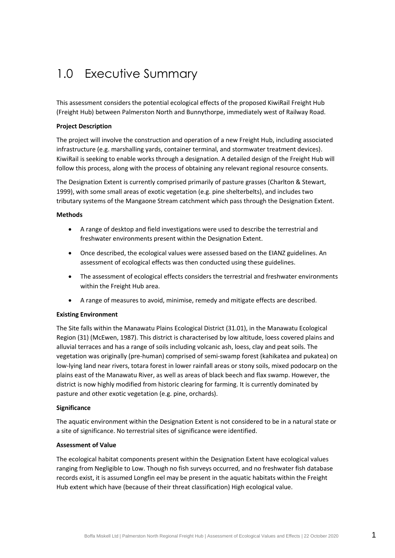# <span id="page-4-0"></span>1.0 Executive Summary

This assessment considers the potential ecological effects of the proposed KiwiRail Freight Hub (Freight Hub) between Palmerston North and Bunnythorpe, immediately west of Railway Road.

#### **Project Description**

The project will involve the construction and operation of a new Freight Hub, including associated infrastructure (e.g. marshalling yards, container terminal, and stormwater treatment devices). KiwiRail is seeking to enable works through a designation. A detailed design of the Freight Hub will follow this process, along with the process of obtaining any relevant regional resource consents.

The Designation Extent is currently comprised primarily of pasture grasses (Charlton & Stewart, 1999), with some small areas of exotic vegetation (e.g. pine shelterbelts), and includes two tributary systems of the Mangaone Stream catchment which pass through the Designation Extent.

#### **Methods**

- A range of desktop and field investigations were used to describe the terrestrial and freshwater environments present within the Designation Extent.
- Once described, the ecological values were assessed based on the EIANZ guidelines. An assessment of ecological effects was then conducted using these guidelines.
- The assessment of ecological effects considers the terrestrial and freshwater environments within the Freight Hub area.
- A range of measures to avoid, minimise, remedy and mitigate effects are described.

#### **Existing Environment**

The Site falls within the Manawatu Plains Ecological District (31.01), in the Manawatu Ecological Region (31) (McEwen, 1987). This district is characterised by low altitude, loess covered plains and alluvial terraces and has a range of soils including volcanic ash, loess, clay and peat soils. The vegetation was originally (pre-human) comprised of semi-swamp forest (kahikatea and pukatea) on low-lying land near rivers, totara forest in lower rainfall areas or stony soils, mixed podocarp on the plains east of the Manawatu River, as well as areas of black beech and flax swamp. However, the district is now highly modified from historic clearing for farming. It is currently dominated by pasture and other exotic vegetation (e.g. pine, orchards).

#### **Significance**

The aquatic environment within the Designation Extent is not considered to be in a natural state or a site of significance. No terrestrial sites of significance were identified.

#### **Assessment of Value**

The ecological habitat components present within the Designation Extent have ecological values ranging from Negligible to Low. Though no fish surveys occurred, and no freshwater fish database records exist, it is assumed Longfin eel may be present in the aquatic habitats within the Freight Hub extent which have (because of their threat classification) High ecological value.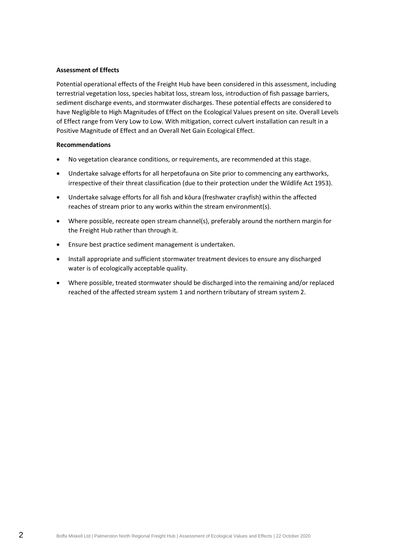#### **Assessment of Effects**

Potential operational effects of the Freight Hub have been considered in this assessment, including terrestrial vegetation loss, species habitat loss, stream loss, introduction of fish passage barriers, sediment discharge events, and stormwater discharges. These potential effects are considered to have Negligible to High Magnitudes of Effect on the Ecological Values present on site. Overall Levels of Effect range from Very Low to Low. With mitigation, correct culvert installation can result in a Positive Magnitude of Effect and an Overall Net Gain Ecological Effect.

#### **Recommendations**

- No vegetation clearance conditions, or requirements, are recommended at this stage.
- Undertake salvage efforts for all herpetofauna on Site prior to commencing any earthworks, irrespective of their threat classification (due to their protection under the Wildlife Act 1953).
- Undertake salvage efforts for all fish and kōura (freshwater crayfish) within the affected reaches of stream prior to any works within the stream environment(s).
- Where possible, recreate open stream channel(s), preferably around the northern margin for the Freight Hub rather than through it.
- Ensure best practice sediment management is undertaken.
- Install appropriate and sufficient stormwater treatment devices to ensure any discharged water is of ecologically acceptable quality.
- Where possible, treated stormwater should be discharged into the remaining and/or replaced reached of the affected stream system 1 and northern tributary of stream system 2.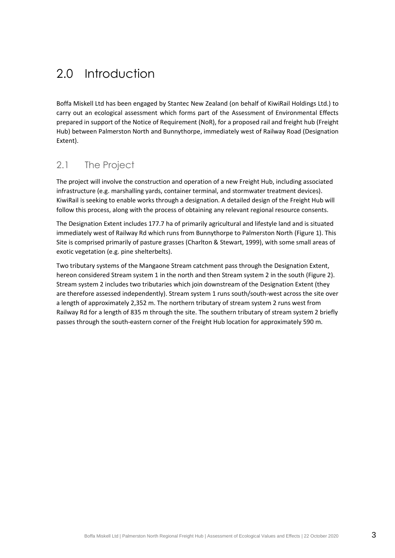# <span id="page-6-0"></span>2.0 Introduction

Boffa Miskell Ltd has been engaged by Stantec New Zealand (on behalf of KiwiRail Holdings Ltd.) to carry out an ecological assessment which forms part of the Assessment of Environmental Effects prepared in support of the Notice of Requirement (NoR), for a proposed rail and freight hub (Freight Hub) between Palmerston North and Bunnythorpe, immediately west of Railway Road (Designation Extent).

# <span id="page-6-1"></span>2.1 The Project

The project will involve the construction and operation of a new Freight Hub, including associated infrastructure (e.g. marshalling yards, container terminal, and stormwater treatment devices). KiwiRail is seeking to enable works through a designation. A detailed design of the Freight Hub will follow this process, along with the process of obtaining any relevant regional resource consents.

The Designation Extent includes 177.7 ha of primarily agricultural and lifestyle land and is situated immediately west of Railway Rd which runs from Bunnythorpe to Palmerston North [\(Figure 1\)](#page-7-0). This Site is comprised primarily of pasture grasses (Charlton & Stewart, 1999), with some small areas of exotic vegetation (e.g. pine shelterbelts).

Two tributary systems of the Mangaone Stream catchment pass through the Designation Extent, hereon considered Stream system 1 in the north and then Stream system 2 in the south [\(Figure 2\)](#page-21-0). Stream system 2 includes two tributaries which join downstream of the Designation Extent (they are therefore assessed independently). Stream system 1 runs south/south-west across the site over a length of approximately 2,352 m. The northern tributary of stream system 2 runs west from Railway Rd for a length of 835 m through the site. The southern tributary of stream system 2 briefly passes through the south-eastern corner of the Freight Hub location for approximately 590 m.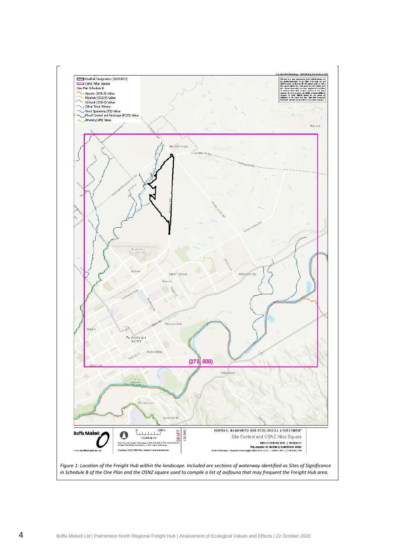<span id="page-7-0"></span>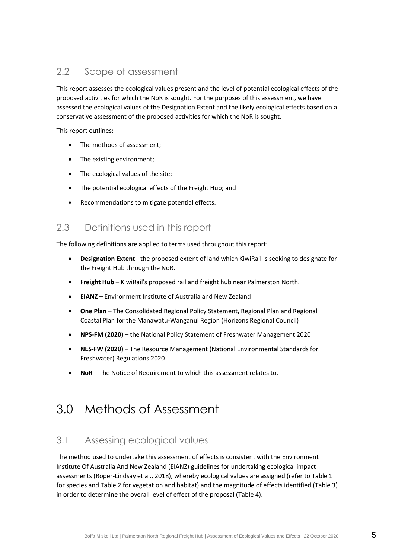# <span id="page-8-0"></span>2.2 Scope of assessment

This report assesses the ecological values present and the level of potential ecological effects of the proposed activities for which the NoR is sought. For the purposes of this assessment, we have assessed the ecological values of the Designation Extent and the likely ecological effects based on a conservative assessment of the proposed activities for which the NoR is sought.

This report outlines:

- The methods of assessment;
- The existing environment;
- The ecological values of the site;
- The potential ecological effects of the Freight Hub; and
- Recommendations to mitigate potential effects.

### <span id="page-8-1"></span>2.3 Definitions used in this report

The following definitions are applied to terms used throughout this report:

- **Designation Extent** the proposed extent of land which KiwiRail is seeking to designate for the Freight Hub through the NoR.
- **Freight Hub** KiwiRail's proposed rail and freight hub near Palmerston North.
- **EIANZ** Environment Institute of Australia and New Zealand
- **One Plan** The Consolidated Regional Policy Statement, Regional Plan and Regional Coastal Plan for the Manawatu-Wanganui Region (Horizons Regional Council)
- **NPS-FM (2020)** the National Policy Statement of Freshwater Management 2020
- **NES-FW (2020)** The Resource Management (National Environmental Standards for Freshwater) Regulations 2020
- <span id="page-8-2"></span>• **NoR** – The Notice of Requirement to which this assessment relates to.

# 3.0 Methods of Assessment

# <span id="page-8-3"></span>3.1 Assessing ecological values

The method used to undertake this assessment of effects is consistent with the Environment Institute Of Australia And New Zealand (EIANZ) guidelines for undertaking ecological impact assessments (Roper-Lindsay et al., 2018), whereby ecological values are assigned (refer to [Table 1](#page-9-0) for species an[d Table 2](#page-9-1) for vegetation and habitat) and the magnitude of effects identified [\(Table 3\)](#page-10-1) in order to determine the overall level of effect of the proposal [\(Table 4\)](#page-10-2).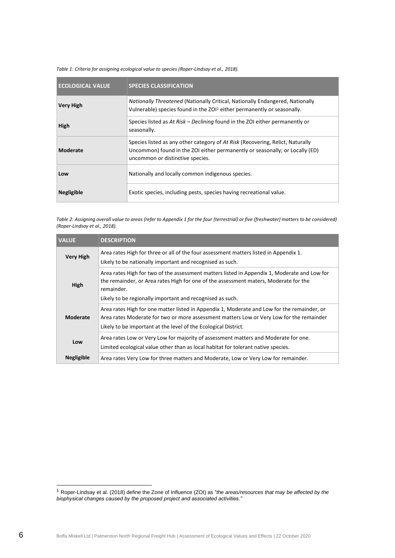#### <span id="page-9-0"></span>*Table 1: Criteria for assigning ecological value to species (Roper-Lindsay et al., 2018).*

| <b>ECOLOGICAL VALUE</b> | <b>SPECIES CLASSIFICATION</b>                                                                                                                                                                      |
|-------------------------|----------------------------------------------------------------------------------------------------------------------------------------------------------------------------------------------------|
| <b>Very High</b>        | <b>Nationally Threatened (Nationally Critical, Nationally Endangered, Nationally</b><br>Vulnerable) species found in the ZOI <sup>1</sup> either permanently or seasonally.                        |
| High                    | Species listed as At Risk – Declining found in the ZOI either permanently or<br>seasonally.                                                                                                        |
| <b>Moderate</b>         | Species listed as any other category of At Risk (Recovering, Relict, Naturally<br>Uncommon) found in the ZOI either permanently or seasonally; or Locally (ED)<br>uncommon or distinctive species. |
| Low                     | Nationally and locally common indigenous species.                                                                                                                                                  |
| <b>Negligible</b>       | Exotic species, including pests, species having recreational value.                                                                                                                                |

<span id="page-9-1"></span>*Table 2: Assigning overall value to areas (refer to Appendix 1 for the four (terrestrial) or five (freshwater) matters to be considered) (Roper-Lindsay et al., 2018).*

| <b>VALUE</b>      | <b>DESCRIPTION</b>                                                                                                                                                                                                                                              |
|-------------------|-----------------------------------------------------------------------------------------------------------------------------------------------------------------------------------------------------------------------------------------------------------------|
| <b>Very High</b>  | Area rates High for three or all of the four assessment matters listed in Appendix 1.<br>Likely to be nationally important and recognised as such.                                                                                                              |
| High              | Area rates High for two of the assessment matters listed in Appendix 1, Moderate and Low for<br>the remainder, or Area rates High for one of the assessment maters, Moderate for the<br>remainder.<br>Likely to be regionally important and recognised as such. |
| Moderate          | Area rates High for one matter listed in Appendix 1, Moderate and Low for the remainder, or<br>Area rates Moderate for two or more assessment matters Low or Very Low for the remainder<br>Likely to be important at the level of the Ecological District.      |
| Low               | Area rates Low or Very Low for majority of assessment matters and Moderate for one.<br>Limited ecological value other than as local habitat for tolerant native species.                                                                                        |
| <b>Negligible</b> | Area rates Very Low for three matters and Moderate, Low or Very Low for remainder.                                                                                                                                                                              |

<sup>1</sup> Roper-Lindsay et al. (2018) define the Zone of Influence (ZOI) as "*the areas/resources that may be affected by the biophysical changes caused by the proposed project and associated activities."*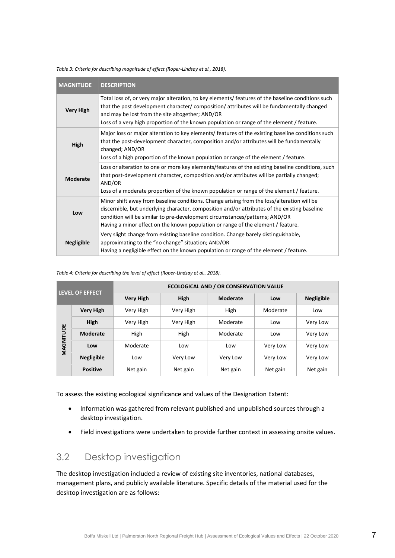| <b>MAGNITUDE</b>  | <b>DESCRIPTION</b>                                                                                                                                                                                                                                                                                                                                             |
|-------------------|----------------------------------------------------------------------------------------------------------------------------------------------------------------------------------------------------------------------------------------------------------------------------------------------------------------------------------------------------------------|
| <b>Very High</b>  | Total loss of, or very major alteration, to key elements/ features of the baseline conditions such<br>that the post development character/composition/attributes will be fundamentally changed<br>and may be lost from the site altogether; AND/OR<br>Loss of a very high proportion of the known population or range of the element / feature.                |
| High              | Major loss or major alteration to key elements/ features of the existing baseline conditions such<br>that the post-development character, composition and/or attributes will be fundamentally<br>changed; AND/OR<br>Loss of a high proportion of the known population or range of the element / feature.                                                       |
| <b>Moderate</b>   | Loss or alteration to one or more key elements/features of the existing baseline conditions, such<br>that post-development character, composition and/or attributes will be partially changed;<br>AND/OR<br>Loss of a moderate proportion of the known population or range of the element / feature.                                                           |
| Low               | Minor shift away from baseline conditions. Change arising from the loss/alteration will be<br>discernible, but underlying character, composition and/or attributes of the existing baseline<br>condition will be similar to pre-development circumstances/patterns; AND/OR<br>Having a minor effect on the known population or range of the element / feature. |
| <b>Negligible</b> | Very slight change from existing baseline condition. Change barely distinguishable,<br>approximating to the "no change" situation; AND/OR<br>Having a negligible effect on the known population or range of the element / feature.                                                                                                                             |

<span id="page-10-1"></span>*Table 3: Criteria for describing magnitude of effect (Roper-Lindsay et al., 2018).*

#### <span id="page-10-2"></span>*Table 4: Criteria for describing the level of effect (Roper-Lindsay et al., 2018).*

| <b>LEVEL OF EFFECT</b> |                   | <b>ECOLOGICAL AND / OR CONSERVATION VALUE</b> |           |                 |          |                   |  |
|------------------------|-------------------|-----------------------------------------------|-----------|-----------------|----------|-------------------|--|
|                        |                   | <b>Very High</b>                              | High      | <b>Moderate</b> | Low      | <b>Negligible</b> |  |
|                        | <b>Very High</b>  | Very High                                     | Very High | High            | Moderate | Low               |  |
| High                   |                   | Very High                                     | Very High | Moderate        | Low      | Very Low          |  |
|                        | <b>Moderate</b>   | High                                          | High      | Moderate        | Low      | Very Low          |  |
| MAGNITUDE              | Low               | Moderate                                      | Low       | Low             | Very Low | Very Low          |  |
|                        | <b>Negligible</b> | Low                                           | Very Low  | Very Low        | Very Low | Very Low          |  |
|                        | <b>Positive</b>   | Net gain                                      | Net gain  | Net gain        | Net gain | Net gain          |  |

To assess the existing ecological significance and values of the Designation Extent:

- Information was gathered from relevant published and unpublished sources through a desktop investigation.
- Field investigations were undertaken to provide further context in assessing onsite values.

# <span id="page-10-0"></span>3.2 Desktop investigation

The desktop investigation included a review of existing site inventories, national databases, management plans, and publicly available literature. Specific details of the material used for the desktop investigation are as follows: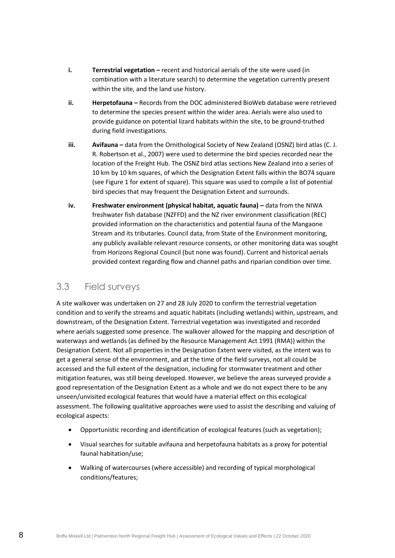- **i. Terrestrial vegetation –** recent and historical aerials of the site were used (in combination with a literature search) to determine the vegetation currently present within the site, and the land use history.
- **ii. Herpetofauna –** Records from the DOC administered BioWeb database were retrieved to determine the species present within the wider area. Aerials were also used to provide guidance on potential lizard habitats within the site, to be ground-truthed during field investigations.
- **iii. Avifauna** data from the Ornithological Society of New Zealand (OSNZ) bird atlas (C. J. R. Robertson et al., 2007) were used to determine the bird species recorded near the location of the Freight Hub. The OSNZ bird atlas sections New Zealand into a series of 10 km by 10 km squares, of which the Designation Extent falls within the BO74 square (see [Figure 1](#page-7-0) for extent of square). This square was used to compile a list of potential bird species that may frequent the Designation Extent and surrounds.
- **iv. Freshwater environment (physical habitat, aquatic fauna) –** data from the NIWA freshwater fish database (NZFFD) and the NZ river environment classification (REC) provided information on the characteristics and potential fauna of the Mangaone Stream and its tributaries. Council data, from State of the Environment monitoring, any publicly available relevant resource consents, or other monitoring data was sought from Horizons Regional Council (but none was found). Current and historical aerials provided context regarding flow and channel paths and riparian condition over time.

# <span id="page-11-0"></span>3.3 Field surveys

A site walkover was undertaken on 27 and 28 July 2020 to confirm the terrestrial vegetation condition and to verify the streams and aquatic habitats (including wetlands) within, upstream, and downstream, of the Designation Extent. Terrestrial vegetation was investigated and recorded where aerials suggested some presence. The walkover allowed for the mapping and description of waterways and wetlands (as defined by the Resource Management Act 1991 (RMA)) within the Designation Extent. Not all properties in the Designation Extent were visited, as the intent was to get a general sense of the environment, and at the time of the field surveys, not all could be accessed and the full extent of the designation, including for stormwater treatment and other mitigation features, was still being developed. However, we believe the areas surveyed provide a good representation of the Designation Extent as a whole and we do not expect there to be any unseen/unvisited ecological features that would have a material effect on this ecological assessment. The following qualitative approaches were used to assist the describing and valuing of ecological aspects:

- Opportunistic recording and identification of ecological features (such as vegetation);
- Visual searches for suitable avifauna and herpetofauna habitats as a proxy for potential faunal habitation/use;
- Walking of watercourses (where accessible) and recording of typical morphological conditions/features;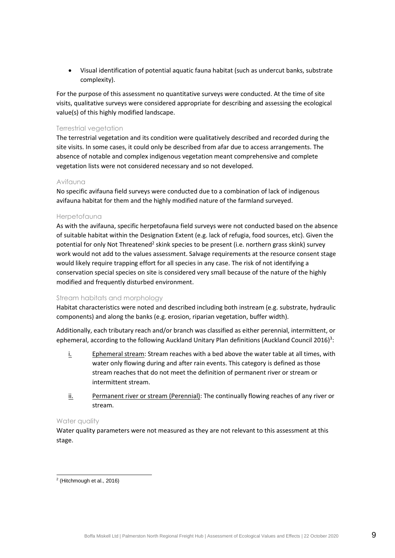• Visual identification of potential aquatic fauna habitat (such as undercut banks, substrate complexity).

For the purpose of this assessment no quantitative surveys were conducted. At the time of site visits, qualitative surveys were considered appropriate for describing and assessing the ecological value(s) of this highly modified landscape.

#### Terrestrial vegetation

The terrestrial vegetation and its condition were qualitatively described and recorded during the site visits. In some cases, it could only be described from afar due to access arrangements. The absence of notable and complex indigenous vegetation meant comprehensive and complete vegetation lists were not considered necessary and so not developed.

#### Avifauna

No specific avifauna field surveys were conducted due to a combination of lack of indigenous avifauna habitat for them and the highly modified nature of the farmland surveyed.

#### Herpetofauna

As with the avifauna, specific herpetofauna field surveys were not conducted based on the absence of suitable habitat within the Designation Extent (e.g. lack of refugia, food sources, etc). Given the potential for only Not Threatened<sup>2</sup> skink species to be present (i.e. northern grass skink) survey work would not add to the values assessment. Salvage requirements at the resource consent stage would likely require trapping effort for all species in any case. The risk of not identifying a conservation special species on site is considered very small because of the nature of the highly modified and frequently disturbed environment.

#### Stream habitats and morphology

Habitat characteristics were noted and described including both instream (e.g. substrate, hydraulic components) and along the banks (e.g. erosion, riparian vegetation, buffer width).

Additionally, each tributary reach and/or branch was classified as either perennial, intermittent, or ephemeral, according to the following Auckland Unitary Plan definitions (Auckland Council 2016)<sup>3</sup>:

- i. Ephemeral stream: Stream reaches with a bed above the water table at all times, with water only flowing during and after rain events. This category is defined as those stream reaches that do not meet the definition of permanent river or stream or intermittent stream.
- ii. Permanent river or stream (Perennial): The continually flowing reaches of any river or stream.

#### Water quality

Water quality parameters were not measured as they are not relevant to this assessment at this stage.

<sup>2</sup> (Hitchmough et al., 2016)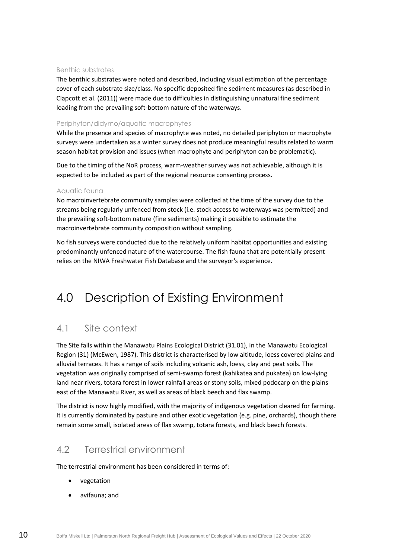#### Benthic substrates

The benthic substrates were noted and described, including visual estimation of the percentage cover of each substrate size/class. No specific deposited fine sediment measures (as described in Clapcott et al. (2011)) were made due to difficulties in distinguishing unnatural fine sediment loading from the prevailing soft-bottom nature of the waterways.

#### Periphyton/didymo/aquatic macrophytes

While the presence and species of macrophyte was noted, no detailed periphyton or macrophyte surveys were undertaken as a winter survey does not produce meaningful results related to warm season habitat provision and issues (when macrophyte and periphyton can be problematic).

Due to the timing of the NoR process, warm-weather survey was not achievable, although it is expected to be included as part of the regional resource consenting process.

#### Aquatic fauna

No macroinvertebrate community samples were collected at the time of the survey due to the streams being regularly unfenced from stock (i.e. stock access to waterways was permitted) and the prevailing soft-bottom nature (fine sediments) making it possible to estimate the macroinvertebrate community composition without sampling.

No fish surveys were conducted due to the relatively uniform habitat opportunities and existing predominantly unfenced nature of the watercourse. The fish fauna that are potentially present relies on the NIWA Freshwater Fish Database and the surveyor's experience.

# <span id="page-13-0"></span>4.0 Description of Existing Environment

# <span id="page-13-1"></span>4.1 Site context

The Site falls within the Manawatu Plains Ecological District (31.01), in the Manawatu Ecological Region (31) (McEwen, 1987). This district is characterised by low altitude, loess covered plains and alluvial terraces. It has a range of soils including volcanic ash, loess, clay and peat soils. The vegetation was originally comprised of semi-swamp forest (kahikatea and pukatea) on low-lying land near rivers, totara forest in lower rainfall areas or stony soils, mixed podocarp on the plains east of the Manawatu River, as well as areas of black beech and flax swamp.

The district is now highly modified, with the majority of indigenous vegetation cleared for farming. It is currently dominated by pasture and other exotic vegetation (e.g. pine, orchards), though there remain some small, isolated areas of flax swamp, totara forests, and black beech forests.

# <span id="page-13-2"></span>4.2 Terrestrial environment

The terrestrial environment has been considered in terms of:

- vegetation
- avifauna; and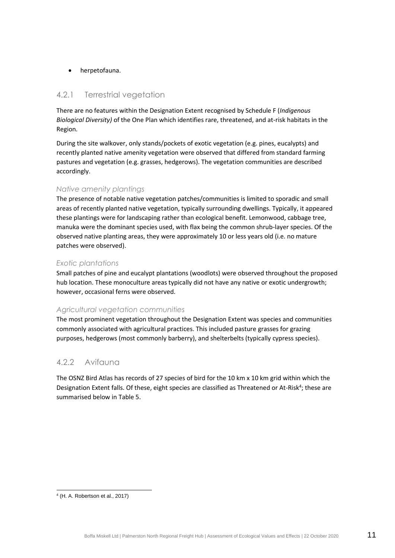#### • herpetofauna.

#### 4.2.1 Terrestrial vegetation

There are no features within the Designation Extent recognised by Schedule F (*Indigenous Biological Diversity)* of the One Plan which identifies rare, threatened, and at-risk habitats in the Region.

During the site walkover, only stands/pockets of exotic vegetation (e.g. pines, eucalypts) and recently planted native amenity vegetation were observed that differed from standard farming pastures and vegetation (e.g. grasses, hedgerows). The vegetation communities are described accordingly.

#### *Native amenity plantings*

The presence of notable native vegetation patches/communities is limited to sporadic and small areas of recently planted native vegetation, typically surrounding dwellings. Typically, it appeared these plantings were for landscaping rather than ecological benefit. Lemonwood, cabbage tree, manuka were the dominant species used, with flax being the common shrub-layer species. Of the observed native planting areas, they were approximately 10 or less years old (i.e. no mature patches were observed).

#### *Exotic plantations*

Small patches of pine and eucalypt plantations (woodlots) were observed throughout the proposed hub location. These monoculture areas typically did not have any native or exotic undergrowth; however, occasional ferns were observed.

#### *Agricultural vegetation communities*

The most prominent vegetation throughout the Designation Extent was species and communities commonly associated with agricultural practices. This included pasture grasses for grazing purposes, hedgerows (most commonly barberry), and shelterbelts (typically cypress species).

#### 4.2.2 Avifauna

The OSNZ Bird Atlas has records of 27 species of bird for the 10 km x 10 km grid within which the Designation Extent falls. Of these, eight species are classified as Threatened or At-Risk<sup>4</sup>; these are summarised below i[n Table 5.](#page-15-0)

<sup>4</sup> (H. A. Robertson et al., 2017)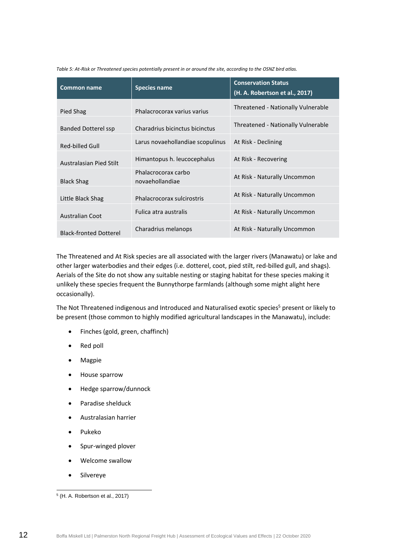<span id="page-15-0"></span>*Table 5: At-Risk or Threatened species potentially present in or around the site, according to the OSNZ bird atlas.*

| <b>Common name</b>            | <b>Species name</b>                    | <b>Conservation Status</b><br>(H. A. Robertson et al., 2017) |
|-------------------------------|----------------------------------------|--------------------------------------------------------------|
| Pied Shag                     | Phalacrocorax varius varius            | Threatened - Nationally Vulnerable                           |
| Banded Dotterel ssp           | Charadrius bicinctus bicinctus         | Threatened - Nationally Vulnerable                           |
| Red-billed Gull               | Larus novaehollandiae scopulinus       | At Risk - Declining                                          |
| Australasian Pied Stilt       | Himantopus h. leucocephalus            | At Risk - Recovering                                         |
| <b>Black Shag</b>             | Phalacrocorax carbo<br>novaehollandiae | At Risk - Naturally Uncommon                                 |
| Little Black Shag             | Phalacrocorax sulcirostris             | At Risk - Naturally Uncommon                                 |
| <b>Australian Coot</b>        | Fulica atra australis                  | At Risk - Naturally Uncommon                                 |
| <b>Black-fronted Dotterel</b> | Charadrius melanops                    | At Risk - Naturally Uncommon                                 |

The Threatened and At Risk species are all associated with the larger rivers (Manawatu) or lake and other larger waterbodies and their edges (i.e. dotterel, coot, pied stilt, red-billed gull, and shags). Aerials of the Site do not show any suitable nesting or staging habitat for these species making it unlikely these species frequent the Bunnythorpe farmlands (although some might alight here occasionally).

The Not Threatened indigenous and Introduced and Naturalised exotic species<sup>5</sup> present or likely to be present (those common to highly modified agricultural landscapes in the Manawatu), include:

- Finches (gold, green, chaffinch)
- Red poll
- Magpie
- House sparrow
- Hedge sparrow/dunnock
- Paradise shelduck
- Australasian harrier
- Pukeko
- Spur-winged plover
- Welcome swallow
- Silvereye

<sup>5</sup> (H. A. Robertson et al., 2017)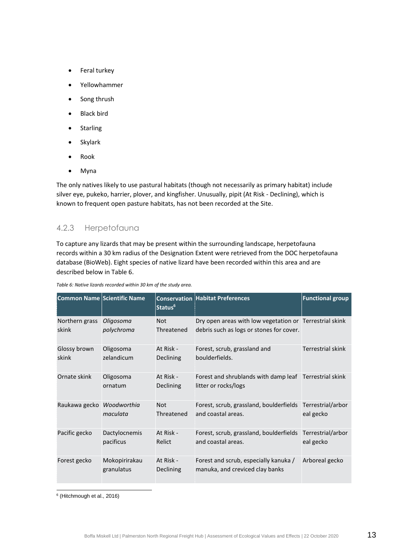- Feral turkey
- Yellowhammer
- Song thrush
- Black bird
- Starling
- Skylark
- Rook
- Myna

The only natives likely to use pastural habitats (though not necessarily as primary habitat) include silver eye, pukeko, harrier, plover, and kingfisher. Unusually, pipit (At Risk - Declining), which is known to frequent open pasture habitats, has not been recorded at the Site.

### 4.2.3 Herpetofauna

To capture any lizards that may be present within the surrounding landscape, herpetofauna records within a 30 km radius of the Designation Extent were retrieved from the DOC herpetofauna database (BioWeb). Eight species of native lizard have been recorded within this area and are described below in [Table 6.](#page-16-0)

| <b>Common Name Scientific Name</b> |                             | Status <sup>6</sup>           | <b>Conservation Habitat Preferences</b>                                                             | <b>Functional group</b>        |
|------------------------------------|-----------------------------|-------------------------------|-----------------------------------------------------------------------------------------------------|--------------------------------|
| Northern grass<br>skink            | Oligosoma<br>polychroma     | <b>Not</b><br>Threatened      | Dry open areas with low vegetation or Terrestrial skink<br>debris such as logs or stones for cover. |                                |
| Glossy brown<br>skink              | Oligosoma<br>zelandicum     | At Risk -<br>Declining        | Forest, scrub, grassland and<br>boulderfields.                                                      | <b>Terrestrial skink</b>       |
| Ornate skink                       | Oligosoma<br>ornatum        | At Risk -<br>Declining        | Forest and shrublands with damp leaf Terrestrial skink<br>litter or rocks/logs                      |                                |
| Raukawa gecko Woodworthia          | maculata                    | <b>Not</b><br>Threatened      | Forest, scrub, grassland, boulderfields<br>and coastal areas.                                       | Terrestrial/arbor<br>eal gecko |
| Pacific gecko                      | Dactylocnemis<br>pacificus  | At Risk -<br>Relict           | Forest, scrub, grassland, boulderfields<br>and coastal areas.                                       | Terrestrial/arbor<br>eal gecko |
| Forest gecko                       | Mokopirirakau<br>granulatus | At Risk -<br><b>Declining</b> | Forest and scrub, especially kanuka /<br>manuka, and creviced clay banks                            | Arboreal gecko                 |

<span id="page-16-0"></span>*Table 6: Native lizards recorded within 30 km of the study area.*

6 (Hitchmough et al., 2016)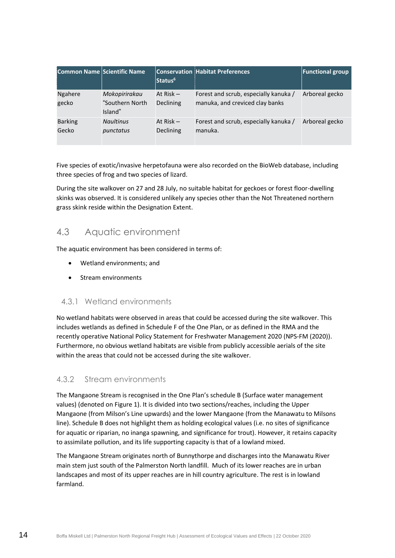| Common Name Scientific Name |                                             | Status <sup>6</sup>             | <b>Conservation Habitat Preferences</b>                                  | <b>Functional group</b> |
|-----------------------------|---------------------------------------------|---------------------------------|--------------------------------------------------------------------------|-------------------------|
| Ngahere<br>gecko            | Mokopirirakau<br>"Southern North<br>Island" | At $Risk -$<br><b>Declining</b> | Forest and scrub, especially kanuka /<br>manuka, and creviced clay banks | Arboreal gecko          |
| <b>Barking</b><br>Gecko     | <b>Naultinus</b><br>punctatus               | At Risk $-$<br><b>Declining</b> | Forest and scrub, especially kanuka /<br>manuka.                         | Arboreal gecko          |

Five species of exotic/invasive herpetofauna were also recorded on the BioWeb database, including three species of frog and two species of lizard.

During the site walkover on 27 and 28 July, no suitable habitat for geckoes or forest floor-dwelling skinks was observed. It is considered unlikely any species other than the Not Threatened northern grass skink reside within the Designation Extent.

# <span id="page-17-0"></span>4.3 Aquatic environment

The aquatic environment has been considered in terms of:

- Wetland environments; and
- Stream environments

#### 4.3.1 Wetland environments

No wetland habitats were observed in areas that could be accessed during the site walkover. This includes wetlands as defined in Schedule F of the One Plan, or as defined in the RMA and the recently operative National Policy Statement for Freshwater Management 2020 (NPS-FM (2020)). Furthermore, no obvious wetland habitats are visible from publicly accessible aerials of the site within the areas that could not be accessed during the site walkover.

### 4.3.2 Stream environments

The Mangaone Stream is recognised in the One Plan's schedule B (Surface water management values) (denoted o[n Figure 1\)](#page-7-0). It is divided into two sections/reaches, including the Upper Mangaone (from Milson's Line upwards) and the lower Mangaone (from the Manawatu to Milsons line). Schedule B does not highlight them as holding ecological values (i.e. no sites of significance for aquatic or riparian, no inanga spawning, and significance for trout). However, it retains capacity to assimilate pollution, and its life supporting capacity is that of a lowland mixed.

The Mangaone Stream originates north of Bunnythorpe and discharges into the Manawatu River main stem just south of the Palmerston North landfill. Much of its lower reaches are in urban landscapes and most of its upper reaches are in hill country agriculture. The rest is in lowland farmland.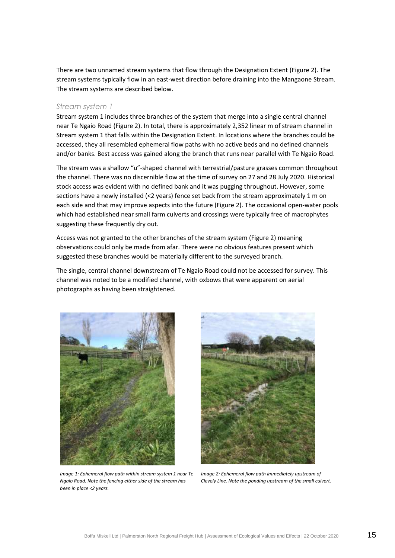There are two unnamed stream systems that flow through the Designation Extent [\(Figure 2\)](#page-21-0). The stream systems typically flow in an east-west direction before draining into the Mangaone Stream. The stream systems are described below.

#### *Stream system 1*

Stream system 1 includes three branches of the system that merge into a single central channel near Te Ngaio Road [\(Figure 2\)](#page-21-0). In total, there is approximately 2,352 linear m of stream channel in Stream system 1 that falls within the Designation Extent. In locations where the branches could be accessed, they all resembled ephemeral flow paths with no active beds and no defined channels and/or banks. Best access was gained along the branch that runs near parallel with Te Ngaio Road.

The stream was a shallow "u"-shaped channel with terrestrial/pasture grasses common throughout the channel. There was no discernible flow at the time of survey on 27 and 28 July 2020. Historical stock access was evident with no defined bank and it was pugging throughout. However, some sections have a newly installed (<2 years) fence set back from the stream approximately 1 m on each side and that may improve aspects into the future [\(Figure 2\)](#page-21-0). The occasional open-water pools which had established near small farm culverts and crossings were typically free of macrophytes suggesting these frequently dry out.

Access was not granted to the other branches of the stream system [\(Figure 2\)](#page-21-0) meaning observations could only be made from afar. There were no obvious features present which suggested these branches would be materially different to the surveyed branch.

The single, central channel downstream of Te Ngaio Road could not be accessed for survey. This channel was noted to be a modified channel, with oxbows that were apparent on aerial photographs as having been straightened.



*Image 1: Ephemeral flow path within stream system 1 near Te Ngaio Road. Note the fencing either side of the stream has been in place <2 years.*



*Image 2: Ephemeral flow path immediately upstream of Clevely Line. Note the ponding upstream of the small culvert.*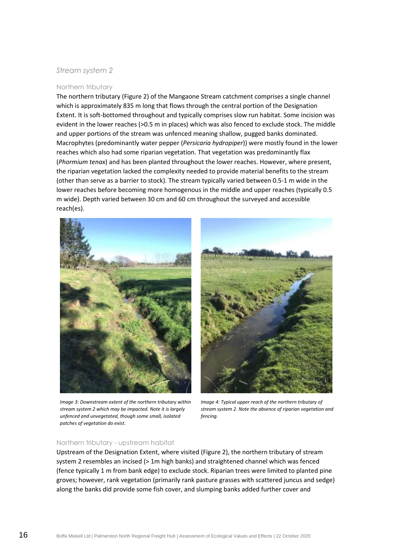#### *Stream system 2*

#### Northern tributary

The northern tributary [\(Figure 2\)](#page-21-0) of the Mangaone Stream catchment comprises a single channel which is approximately 835 m long that flows through the central portion of the Designation Extent. It is soft-bottomed throughout and typically comprises slow run habitat. Some incision was evident in the lower reaches (>0.5 m in places) which was also fenced to exclude stock. The middle and upper portions of the stream was unfenced meaning shallow, pugged banks dominated. Macrophytes (predominantly water pepper (*Persicaria hydropiper*)) were mostly found in the lower reaches which also had some riparian vegetation. That vegetation was predominantly flax (*Phormium tenax*) and has been planted throughout the lower reaches. However, where present, the riparian vegetation lacked the complexity needed to provide material benefits to the stream (other than serve as a barrier to stock). The stream typically varied between 0.5-1 m wide in the lower reaches before becoming more homogenous in the middle and upper reaches (typically 0.5 m wide). Depth varied between 30 cm and 60 cm throughout the surveyed and accessible reach(es).



*Image 3: Downstream extent of the northern tributary within stream system 2 which may be impacted. Note it is largely unfenced and unvegetated, though some small, isolated patches of vegetation do exist.*



*Image 4: Typical upper reach of the northern tributary of stream system 2. Note the absence of riparian vegetation and fencing.*

#### Northern tributary - upstream habitat

Upstream of the Designation Extent, where visited [\(Figure 2\)](#page-21-0), the northern tributary of stream system 2 resembles an incised (> 1m high banks) and straightened channel which was fenced (fence typically 1 m from bank edge) to exclude stock. Riparian trees were limited to planted pine groves; however, rank vegetation (primarily rank pasture grasses with scattered juncus and sedge) along the banks did provide some fish cover, and slumping banks added further cover and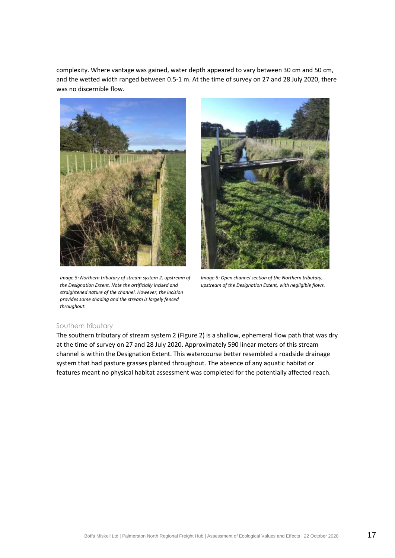complexity. Where vantage was gained, water depth appeared to vary between 30 cm and 50 cm, and the wetted width ranged between 0.5-1 m. At the time of survey on 27 and 28 July 2020, there was no discernible flow.



*Image 5: Northern tributary of stream system 2, upstream of the Designation Extent. Note the artificially incised and straightened nature of the channel. However, the incision provides some shading and the stream is largely fenced throughout.*



*Image 6: Open channel section of the Northern tributary, upstream of the Designation Extent, with negligible flows.*

#### Southern tributary

The southern tributary of stream system 2 [\(Figure 2\)](#page-21-0) is a shallow, ephemeral flow path that was dry at the time of survey on 27 and 28 July 2020. Approximately 590 linear meters of this stream channel is within the Designation Extent. This watercourse better resembled a roadside drainage system that had pasture grasses planted throughout. The absence of any aquatic habitat or features meant no physical habitat assessment was completed for the potentially affected reach.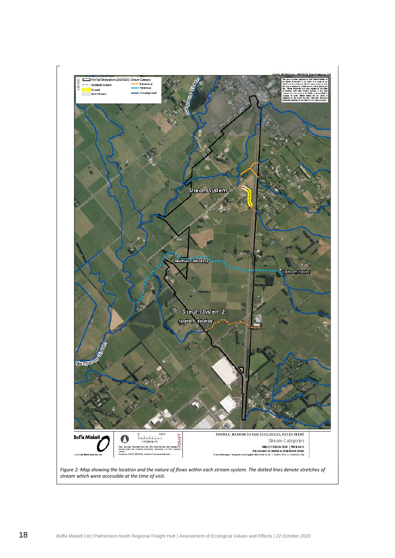<span id="page-21-0"></span>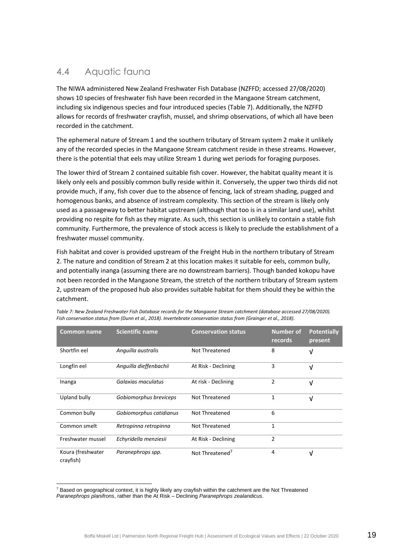# <span id="page-22-0"></span>4.4 Aquatic fauna

The NIWA administered New Zealand Freshwater Fish Database (NZFFD; accessed 27/08/2020) shows 10 species of freshwater fish have been recorded in the Mangaone Stream catchment, including six indigenous species and four introduced species [\(Table 7\)](#page-22-1). Additionally, the NZFFD allows for records of freshwater crayfish, mussel, and shrimp observations, of which all have been recorded in the catchment.

The ephemeral nature of Stream 1 and the southern tributary of Stream system 2 make it unlikely any of the recorded species in the Mangaone Stream catchment reside in these streams. However, there is the potential that eels may utilize Stream 1 during wet periods for foraging purposes.

The lower third of Stream 2 contained suitable fish cover. However, the habitat quality meant it is likely only eels and possibly common bully reside within it. Conversely, the upper two thirds did not provide much, if any, fish cover due to the absence of fencing, lack of stream shading, pugged and homogenous banks, and absence of instream complexity. This section of the stream is likely only used as a passageway to better habitat upstream (although that too is in a similar land use), whilst providing no respite for fish as they migrate. As such, this section is unlikely to contain a stable fish community. Furthermore, the prevalence of stock access is likely to preclude the establishment of a freshwater mussel community.

Fish habitat and cover is provided upstream of the Freight Hub in the northern tributary of Stream 2. The nature and condition of Stream 2 at this location makes it suitable for eels, common bully, and potentially inanga (assuming there are no downstream barriers). Though banded kokopu have not been recorded in the Mangaone Stream, the stretch of the northern tributary of Stream system 2, upstream of the proposed hub also provides suitable habitat for them should they be within the catchment.

| <b>Common name</b>             | <b>Scientific name</b>  | <b>Conservation status</b>  | <b>Number of</b><br>records | <b>Potentially</b><br>present |
|--------------------------------|-------------------------|-----------------------------|-----------------------------|-------------------------------|
| Shortfin eel                   | Anguilla australis      | Not Threatened              | 8                           | V                             |
| Longfin eel                    | Anguilla dieffenbachii  | At Risk - Declining         | 3                           | $\sqrt{ }$                    |
| Inanga                         | Galaxias maculatus      | At risk - Declining         | 2                           | $\sqrt{ }$                    |
| Upland bully                   | Gobiomorphus breviceps  | Not Threatened              | 1                           | $\sqrt{ }$                    |
| Common bully                   | Gobiomorphus catidianus | Not Threatened              | 6                           |                               |
| Common smelt                   | Retropinna retropinna   | Not Threatened              | 1                           |                               |
| Freshwater mussel              | Echyridella menziesii   | At Risk - Declining         | $\overline{2}$              |                               |
| Koura (freshwater<br>crayfish) | Paranephrops spp.       | Not Threatened <sup>7</sup> | 4                           | V                             |

<span id="page-22-1"></span>*Table 7: New Zealand Freshwater Fish Database records for the Mangaone Stream catchment (database accessed 27/08/2020). Fish conservation status from (Dunn et al., 2018). Invertebrate conservation status from (Grainger et al., 2018).*

 $7$  Based on geographical context, it is highly likely any crayfish within the catchment are the Not Threatened *Paranephrops planifrons*, rather than the At Risk – Declining *Paranephrops zealandicus*.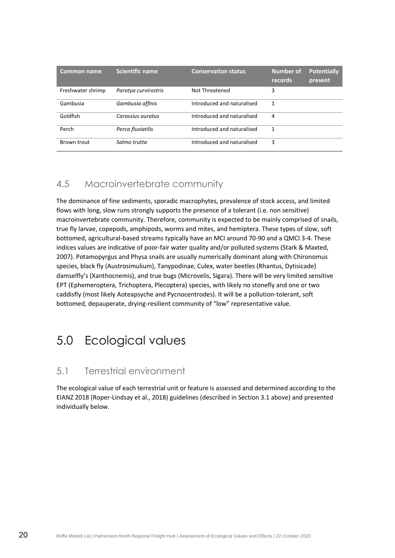| <b>Common name</b> | <b>Scientific name</b> | <b>Conservation status</b> | <b>Number of</b><br>records | <b>Potentially</b><br>present |
|--------------------|------------------------|----------------------------|-----------------------------|-------------------------------|
| Freshwater shrimp  | Paratya curvirostris   | Not Threatened             | 3                           |                               |
| Gambusia           | Gambusia affinis       | Introduced and naturalised |                             |                               |
| Goldfish           | Carassius auratus      | Introduced and naturalised | 4                           |                               |
| Perch              | Perca fluviatilis      | Introduced and naturalised | 1                           |                               |
| Brown trout        | Salmo trutta           | Introduced and naturalised | 3                           |                               |

# <span id="page-23-0"></span>4.5 Macroinvertebrate community

The dominance of fine sediments, sporadic macrophytes, prevalence of stock access, and limited flows with long, slow runs strongly supports the presence of a tolerant (i.e. non sensitive) macroinvertebrate community. Therefore, community is expected to be mainly comprised of snails, true fly larvae, copepods, amphipods, worms and mites, and hemiptera. These types of slow, soft bottomed, agricultural-based streams typically have an MCI around 70-90 and a QMCI 3-4. These indices values are indicative of poor-fair water quality and/or polluted systems (Stark & Maxted, 2007). Potamopyrgus and Physa snails are usually numerically dominant along with Chironomus species, black fly (Austrosimulium), Tanypodinae, Culex, water beetles (Rhantus, Dytisicade) damselfly's (Xanthocnemis), and true bugs (Microvelis, Sigara). There will be very limited sensitive EPT (Ephemeroptera, Trichoptera, Plecoptera) species, with likely no stonefly and one or two caddisfly (most likely Aoteapsyche and Pycnocentrodes). It will be a pollution-tolerant, soft bottomed, depauperate, drying-resilient community of "low" representative value.

# <span id="page-23-1"></span>5.0 Ecological values

# <span id="page-23-2"></span>5.1 Terrestrial environment

The ecological value of each terrestrial unit or feature is assessed and determined according to the EIANZ 2018 (Roper-Lindsay et al., 2018) guidelines (described in Section [3.1](#page-8-3) above) and presented individually below.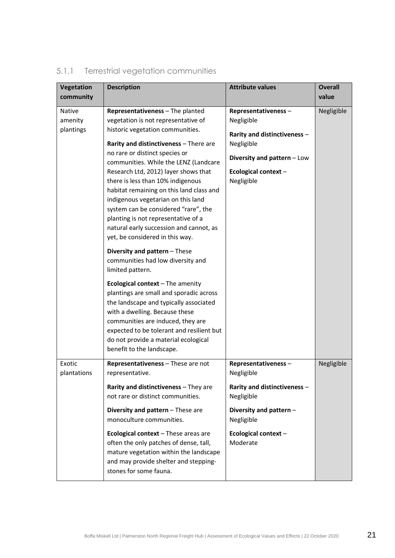| Vegetation    | <b>Description</b>                                                         | <b>Attribute values</b>      | <b>Overall</b> |
|---------------|----------------------------------------------------------------------------|------------------------------|----------------|
| community     |                                                                            |                              | value          |
| <b>Native</b> | Representativeness - The planted                                           | Representativeness-          | Negligible     |
| amenity       | vegetation is not representative of                                        | Negligible                   |                |
| plantings     | historic vegetation communities.                                           | Rarity and distinctiveness - |                |
|               | Rarity and distinctiveness - There are                                     | Negligible                   |                |
|               | no rare or distinct species or                                             | Diversity and pattern - Low  |                |
|               | communities. While the LENZ (Landcare                                      |                              |                |
|               | Research Ltd, 2012) layer shows that                                       | Ecological context-          |                |
|               | there is less than 10% indigenous                                          | Negligible                   |                |
|               | habitat remaining on this land class and                                   |                              |                |
|               | indigenous vegetarian on this land<br>system can be considered "rare", the |                              |                |
|               | planting is not representative of a                                        |                              |                |
|               | natural early succession and cannot, as                                    |                              |                |
|               | yet, be considered in this way.                                            |                              |                |
|               | Diversity and pattern - These                                              |                              |                |
|               | communities had low diversity and                                          |                              |                |
|               | limited pattern.                                                           |                              |                |
|               | <b>Ecological context</b> $-$ The amenity                                  |                              |                |
|               | plantings are small and sporadic across                                    |                              |                |
|               | the landscape and typically associated                                     |                              |                |
|               | with a dwelling. Because these                                             |                              |                |
|               | communities are induced, they are                                          |                              |                |
|               | expected to be tolerant and resilient but                                  |                              |                |
|               | do not provide a material ecological                                       |                              |                |
|               | benefit to the landscape.                                                  |                              |                |
| Exotic        | Representativeness - These are not                                         | Representativeness-          | Negligible     |
| plantations   | representative.                                                            | Negligible                   |                |
|               | Rarity and distinctiveness - They are                                      | Rarity and distinctiveness - |                |
|               | not rare or distinct communities.                                          | Negligible                   |                |
|               | Diversity and pattern - These are                                          | Diversity and pattern -      |                |
|               | monoculture communities.                                                   | Negligible                   |                |
|               | Ecological context - These areas are                                       | Ecological context-          |                |
|               | often the only patches of dense, tall,                                     | Moderate                     |                |
|               | mature vegetation within the landscape                                     |                              |                |
|               | and may provide shelter and stepping-                                      |                              |                |
|               | stones for some fauna.                                                     |                              |                |

# 5.1.1 Terrestrial vegetation communities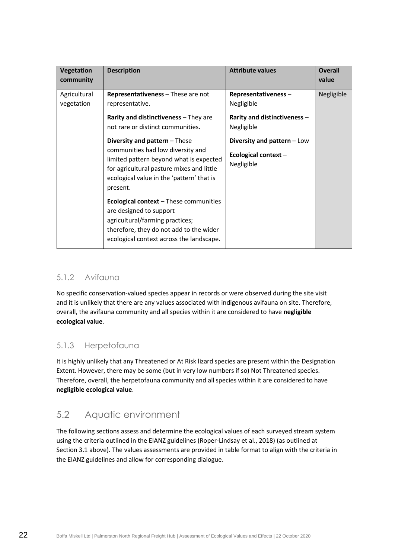| <b>Vegetation</b><br>community | <b>Description</b>                                                                                                                                                                                                  | <b>Attribute values</b>                                          | <b>Overall</b><br>value |
|--------------------------------|---------------------------------------------------------------------------------------------------------------------------------------------------------------------------------------------------------------------|------------------------------------------------------------------|-------------------------|
| Agricultural<br>vegetation     | Representativeness - These are not<br>representative.                                                                                                                                                               | Representativeness-<br>Negligible                                | Negligible              |
|                                | Rarity and distinctiveness - They are<br>not rare or distinct communities.                                                                                                                                          | Rarity and distinctiveness -<br>Negligible                       |                         |
|                                | Diversity and pattern - These<br>communities had low diversity and<br>limited pattern beyond what is expected<br>for agricultural pasture mixes and little<br>ecological value in the 'pattern' that is<br>present. | Diversity and pattern - Low<br>Ecological context-<br>Negligible |                         |
|                                | <b>Ecological context</b> – These communities<br>are designed to support<br>agricultural/farming practices;<br>therefore, they do not add to the wider<br>ecological context across the landscape.                  |                                                                  |                         |

### 5.1.2 Avifauna

No specific conservation-valued species appear in records or were observed during the site visit and it is unlikely that there are any values associated with indigenous avifauna on site. Therefore, overall, the avifauna community and all species within it are considered to have **negligible ecological value**.

# 5.1.3 Herpetofauna

It is highly unlikely that any Threatened or At Risk lizard species are present within the Designation Extent. However, there may be some (but in very low numbers if so) Not Threatened species. Therefore, overall, the herpetofauna community and all species within it are considered to have **negligible ecological value**.

# <span id="page-25-0"></span>5.2 Aquatic environment

The following sections assess and determine the ecological values of each surveyed stream system using the criteria outlined in the EIANZ guidelines (Roper-Lindsay et al., 2018) (as outlined at Section [3.1](#page-8-3) above). The values assessments are provided in table format to align with the criteria in the EIANZ guidelines and allow for corresponding dialogue.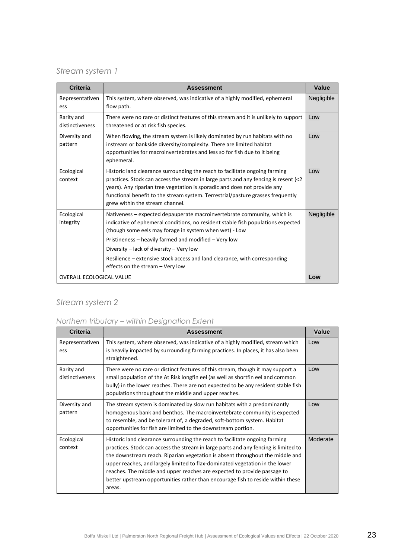# *Stream system 1*

| <b>Criteria</b>                 | <b>Assessment</b>                                                                                                                                                                                                                                                                                                                                                                                                                            | Value      |
|---------------------------------|----------------------------------------------------------------------------------------------------------------------------------------------------------------------------------------------------------------------------------------------------------------------------------------------------------------------------------------------------------------------------------------------------------------------------------------------|------------|
| Representativen<br>ess          | This system, where observed, was indicative of a highly modified, ephemeral<br>flow path.                                                                                                                                                                                                                                                                                                                                                    | Negligible |
| Rarity and<br>distinctiveness   | There were no rare or distinct features of this stream and it is unlikely to support<br>threatened or at risk fish species.                                                                                                                                                                                                                                                                                                                  | Low        |
| Diversity and<br>pattern        | When flowing, the stream system is likely dominated by run habitats with no<br>instream or bankside diversity/complexity. There are limited habitat<br>opportunities for macroinvertebrates and less so for fish due to it being<br>ephemeral.                                                                                                                                                                                               | Low        |
| Ecological<br>context           | Historic land clearance surrounding the reach to facilitate ongoing farming<br>practices. Stock can access the stream in large parts and any fencing is resent (<2<br>years). Any riparian tree vegetation is sporadic and does not provide any<br>functional benefit to the stream system. Terrestrial/pasture grasses frequently<br>grew within the stream channel.                                                                        | Low        |
| Ecological<br>integrity         | Nativeness – expected depauperate macroinvertebrate community, which is<br>indicative of ephemeral conditions, no resident stable fish populations expected<br>(though some eels may forage in system when wet) - Low<br>Pristineness - heavily farmed and modified - Very low<br>Diversity – lack of diversity – Very low<br>Resilience – extensive stock access and land clearance, with corresponding<br>effects on the stream - Very low | Negligible |
| <b>OVERALL ECOLOGICAL VALUE</b> |                                                                                                                                                                                                                                                                                                                                                                                                                                              | Low        |

# *Stream system 2*

### *Northern tributary – within Designation Extent*

| <b>Criteria</b>               | <b>Assessment</b>                                                                                                                                                                                                                                                                                                                                                                                                                                                                                            | <b>Value</b> |
|-------------------------------|--------------------------------------------------------------------------------------------------------------------------------------------------------------------------------------------------------------------------------------------------------------------------------------------------------------------------------------------------------------------------------------------------------------------------------------------------------------------------------------------------------------|--------------|
| Representativen<br>ess        | This system, where observed, was indicative of a highly modified, stream which<br>is heavily impacted by surrounding farming practices. In places, it has also been<br>straightened.                                                                                                                                                                                                                                                                                                                         | Low          |
| Rarity and<br>distinctiveness | There were no rare or distinct features of this stream, though it may support a<br>small population of the At Risk longfin eel (as well as shortfin eel and common<br>bully) in the lower reaches. There are not expected to be any resident stable fish<br>populations throughout the middle and upper reaches.                                                                                                                                                                                             | Low          |
| Diversity and<br>pattern      | The stream system is dominated by slow run habitats with a predominantly<br>homogenous bank and benthos. The macroinvertebrate community is expected<br>to resemble, and be tolerant of, a degraded, soft-bottom system. Habitat<br>opportunities for fish are limited to the downstream portion.                                                                                                                                                                                                            | Low          |
| Ecological<br>context         | Historic land clearance surrounding the reach to facilitate ongoing farming<br>practices. Stock can access the stream in large parts and any fencing is limited to<br>the downstream reach. Riparian vegetation is absent throughout the middle and<br>upper reaches, and largely limited to flax-dominated vegetation in the lower<br>reaches. The middle and upper reaches are expected to provide passage to<br>better upstream opportunities rather than encourage fish to reside within these<br>areas. | Moderate     |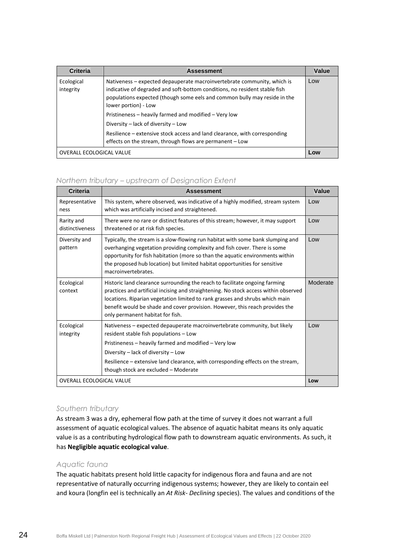| <b>Criteria</b>                 | <b>Assessment</b>                                                                                                                                                                                                                                                                                                                                                                                                                                                                                    | Value |
|---------------------------------|------------------------------------------------------------------------------------------------------------------------------------------------------------------------------------------------------------------------------------------------------------------------------------------------------------------------------------------------------------------------------------------------------------------------------------------------------------------------------------------------------|-------|
| Ecological<br>integrity         | Nativeness - expected depauperate macroinvertebrate community, which is<br>indicative of degraded and soft-bottom conditions, no resident stable fish<br>populations expected (though some eels and common bully may reside in the<br>lower portion) - Low<br>Pristineness - heavily farmed and modified - Very low<br>Diversity - lack of diversity - Low<br>Resilience – extensive stock access and land clearance, with corresponding<br>effects on the stream, through flows are permanent - Low | Low   |
| <b>OVERALL ECOLOGICAL VALUE</b> |                                                                                                                                                                                                                                                                                                                                                                                                                                                                                                      | Low   |

#### *Northern tributary – upstream of Designation Extent*

| Criteria                        | <b>Assessment</b>                                                                                                                                                                                                                                                                                                                                                       | Value    |
|---------------------------------|-------------------------------------------------------------------------------------------------------------------------------------------------------------------------------------------------------------------------------------------------------------------------------------------------------------------------------------------------------------------------|----------|
| Representative<br>ness          | This system, where observed, was indicative of a highly modified, stream system<br>which was artificially incised and straightened.                                                                                                                                                                                                                                     | Low      |
| Rarity and<br>distinctiveness   | There were no rare or distinct features of this stream; however, it may support<br>threatened or at risk fish species.                                                                                                                                                                                                                                                  | Low      |
| Diversity and<br>pattern        | Typically, the stream is a slow-flowing run habitat with some bank slumping and<br>overhanging vegetation providing complexity and fish cover. There is some<br>opportunity for fish habitation (more so than the aquatic environments within<br>the proposed hub location) but limited habitat opportunities for sensitive<br>macroinvertebrates.                      | Low      |
| Ecological<br>context           | Historic land clearance surrounding the reach to facilitate ongoing farming<br>practices and artificial incising and straightening. No stock access within observed<br>locations. Riparian vegetation limited to rank grasses and shrubs which main<br>benefit would be shade and cover provision. However, this reach provides the<br>only permanent habitat for fish. | Moderate |
| Ecological<br>integrity         | Nativeness – expected depauperate macroinvertebrate community, but likely<br>resident stable fish populations - Low                                                                                                                                                                                                                                                     | Low      |
|                                 | Pristineness - heavily farmed and modified - Very low                                                                                                                                                                                                                                                                                                                   |          |
|                                 | Diversity – lack of diversity – Low                                                                                                                                                                                                                                                                                                                                     |          |
|                                 | Resilience – extensive land clearance, with corresponding effects on the stream,<br>though stock are excluded - Moderate                                                                                                                                                                                                                                                |          |
| <b>OVERALL ECOLOGICAL VALUE</b> |                                                                                                                                                                                                                                                                                                                                                                         | Low      |

#### *Southern tributary*

As stream 3 was a dry, ephemeral flow path at the time of survey it does not warrant a full assessment of aquatic ecological values. The absence of aquatic habitat means its only aquatic value is as a contributing hydrological flow path to downstream aquatic environments. As such, it has **Negligible aquatic ecological value**.

#### *Aquatic fauna*

The aquatic habitats present hold little capacity for indigenous flora and fauna and are not representative of naturally occurring indigenous systems; however, they are likely to contain eel and koura (longfin eel is technically an *At Risk- Declining* species). The values and conditions of the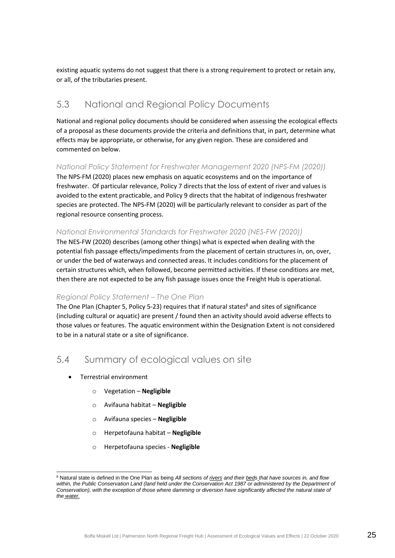existing aquatic systems do not suggest that there is a strong requirement to protect or retain any, or all, of the tributaries present.

# <span id="page-28-0"></span>5.3 National and Regional Policy Documents

National and regional policy documents should be considered when assessing the ecological effects of a proposal as these documents provide the criteria and definitions that, in part, determine what effects may be appropriate, or otherwise, for any given region. These are considered and commented on below.

#### *National Policy Statement for Freshwater Management 2020 (NPS-FM (2020))*

The NPS-FM (2020) places new emphasis on aquatic ecosystems and on the importance of freshwater. Of particular relevance, Policy 7 directs that the loss of extent of river and values is avoided to the extent practicable, and Policy 9 directs that the habitat of indigenous freshwater species are protected. The NPS-FM (2020) will be particularly relevant to consider as part of the regional resource consenting process.

#### *National Environmental Standards for Freshwater 2020 (NES-FW (2020))*

The NES-FW (2020) describes (among other things) what is expected when dealing with the potential fish passage effects/impediments from the placement of certain structures in, on, over, or under the bed of waterways and connected areas. It includes conditions for the placement of certain structures which, when followed, become permitted activities. If these conditions are met, then there are not expected to be any fish passage issues once the Freight Hub is operational.

#### *Regional Policy Statement – The One Plan*

The One Plan (Chapter 5, Policy 5-23) requires that if natural states<sup>8</sup> and sites of significance (including cultural or aquatic) are present / found then an activity should avoid adverse effects to those values or features. The aquatic environment within the Designation Extent is not considered to be in a natural state or a site of significance.

# <span id="page-28-1"></span>5.4 Summary of ecological values on site

- Terrestrial environment
	- o Vegetation **Negligible**
	- o Avifauna habitat **Negligible**
	- o Avifauna species **Negligible**
	- o Herpetofauna habitat **Negligible**
	- o Herpetofauna species **Negligible**

<sup>8</sup> Natural state is defined in the One Plan as being *All sections of rivers and their beds that have sources in, and flow within, the Public Conservation Land (land held under the Conservation Act 1987 or administered by the Department of Conservation), with the exception of those where damming or diversion have significantly affected the natural state of the water.*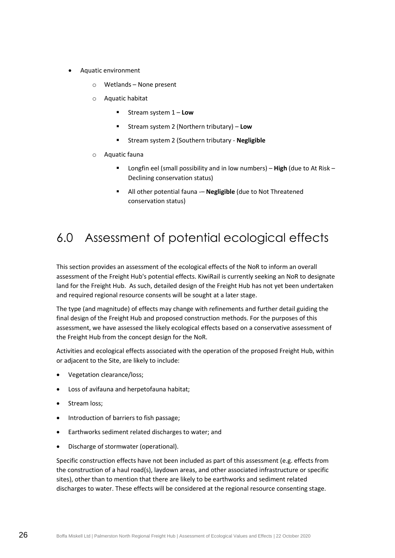- Aquatic environment
	- o Wetlands None present
	- o Aquatic habitat
		- Stream system 1 **Low**
		- Stream system 2 (Northern tributary) Low
		- Stream system 2 (Southern tributary **Negligible**
	- o Aquatic fauna
		- Longfin eel (small possibility and in low numbers) **High** (due to At Risk Declining conservation status)
		- All other potential fauna -– **Negligible** (due to Not Threatened conservation status)

# <span id="page-29-0"></span>6.0 Assessment of potential ecological effects

This section provides an assessment of the ecological effects of the NoR to inform an overall assessment of the Freight Hub's potential effects. KiwiRail is currently seeking an NoR to designate land for the Freight Hub. As such, detailed design of the Freight Hub has not yet been undertaken and required regional resource consents will be sought at a later stage.

The type (and magnitude) of effects may change with refinements and further detail guiding the final design of the Freight Hub and proposed construction methods. For the purposes of this assessment, we have assessed the likely ecological effects based on a conservative assessment of the Freight Hub from the concept design for the NoR.

Activities and ecological effects associated with the operation of the proposed Freight Hub, within or adjacent to the Site, are likely to include:

- Vegetation clearance/loss;
- Loss of avifauna and herpetofauna habitat;
- Stream loss:
- Introduction of barriers to fish passage;
- Earthworks sediment related discharges to water; and
- Discharge of stormwater (operational).

Specific construction effects have not been included as part of this assessment (e.g. effects from the construction of a haul road(s), laydown areas, and other associated infrastructure or specific sites), other than to mention that there are likely to be earthworks and sediment related discharges to water. These effects will be considered at the regional resource consenting stage.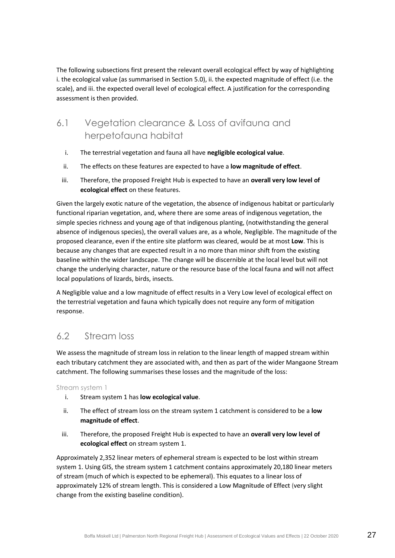The following subsections first present the relevant overall ecological effect by way of highlighting i. the ecological value (as summarised in Sectio[n 5.0\)](#page-23-1), ii. the expected magnitude of effect (i.e. the scale), and iii. the expected overall level of ecological effect. A justification for the corresponding assessment is then provided.

# <span id="page-30-0"></span>6.1 Vegetation clearance & Loss of avifauna and herpetofauna habitat

- i. The terrestrial vegetation and fauna all have **negligible ecological value**.
- ii. The effects on these features are expected to have a **low magnitude of effect**.
- iii. Therefore, the proposed Freight Hub is expected to have an **overall very low level of ecological effect** on these features.

Given the largely exotic nature of the vegetation, the absence of indigenous habitat or particularly functional riparian vegetation, and, where there are some areas of indigenous vegetation, the simple species richness and young age of that indigenous planting, (notwithstanding the general absence of indigenous species), the overall values are, as a whole, Negligible. The magnitude of the proposed clearance, even if the entire site platform was cleared, would be at most **Low**. This is because any changes that are expected result in a no more than minor shift from the existing baseline within the wider landscape. The change will be discernible at the local level but will not change the underlying character, nature or the resource base of the local fauna and will not affect local populations of lizards, birds, insects.

A Negligible value and a low magnitude of effect results in a Very Low level of ecological effect on the terrestrial vegetation and fauna which typically does not require any form of mitigation response.

# <span id="page-30-1"></span>6.2 Stream loss

We assess the magnitude of stream loss in relation to the linear length of mapped stream within each tributary catchment they are associated with, and then as part of the wider Mangaone Stream catchment. The following summarises these losses and the magnitude of the loss:

Stream system 1

- i. Stream system 1 has **low ecological value**.
- ii. The effect of stream loss on the stream system 1 catchment is considered to be a **low magnitude of effect**.
- iii. Therefore, the proposed Freight Hub is expected to have an **overall very low level of ecological effect** on stream system 1.

Approximately 2,352 linear meters of ephemeral stream is expected to be lost within stream system 1. Using GIS, the stream system 1 catchment contains approximately 20,180 linear meters of stream (much of which is expected to be ephemeral). This equates to a linear loss of approximately 12% of stream length. This is considered a **Low Magnitude of Effect** (very slight change from the existing baseline condition).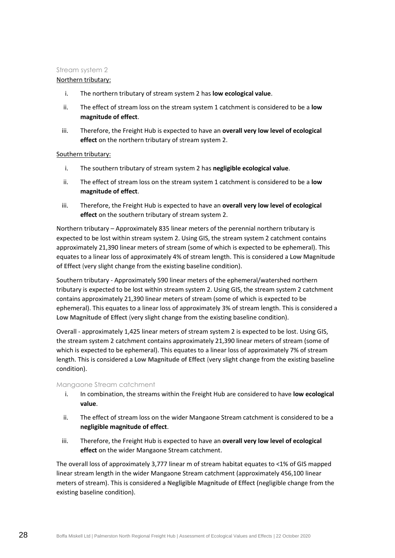#### Stream system 2

#### Northern tributary:

- i. The northern tributary of stream system 2 has **low ecological value**.
- ii. The effect of stream loss on the stream system 1 catchment is considered to be a **low magnitude of effect**.
- iii. Therefore, the Freight Hub is expected to have an **overall very low level of ecological effect** on the northern tributary of stream system 2.

#### Southern tributary:

- i. The southern tributary of stream system 2 has **negligible ecological value**.
- ii. The effect of stream loss on the stream system 1 catchment is considered to be a **low magnitude of effect**.
- iii. Therefore, the Freight Hub is expected to have an **overall very low level of ecological effect** on the southern tributary of stream system 2.

Northern tributary – Approximately 835 linear meters of the perennial northern tributary is expected to be lost within stream system 2. Using GIS, the stream system 2 catchment contains approximately 21,390 linear meters of stream (some of which is expected to be ephemeral). This equates to a linear loss of approximately 4% of stream length. This is considered a **Low Magnitude of Effect** (very slight change from the existing baseline condition).

Southern tributary - Approximately 590 linear meters of the ephemeral/watershed northern tributary is expected to be lost within stream system 2. Using GIS, the stream system 2 catchment contains approximately 21,390 linear meters of stream (some of which is expected to be ephemeral). This equates to a linear loss of approximately 3% of stream length. This is considered a **Low Magnitude of Effect** (very slight change from the existing baseline condition).

Overall - approximately 1,425 linear meters of stream system 2 is expected to be lost. Using GIS, the stream system 2 catchment contains approximately 21,390 linear meters of stream (some of which is expected to be ephemeral). This equates to a linear loss of approximately 7% of stream length. This is considered a **Low Magnitude of Effect** (very slight change from the existing baseline condition).

#### Mangaone Stream catchment

- i. In combination, the streams within the Freight Hub are considered to have **low ecological value**.
- ii. The effect of stream loss on the wider Mangaone Stream catchment is considered to be a **negligible magnitude of effect**.
- iii. Therefore, the Freight Hub is expected to have an **overall very low level of ecological effect** on the wider Mangaone Stream catchment.

The overall loss of approximately 3,777 linear m of stream habitat equates to <1% of GIS mapped linear stream length in the wider Mangaone Stream catchment (approximately 456,100 linear meters of stream). This is considered a **Negligible Magnitude of Effect (**negligible change from the existing baseline condition).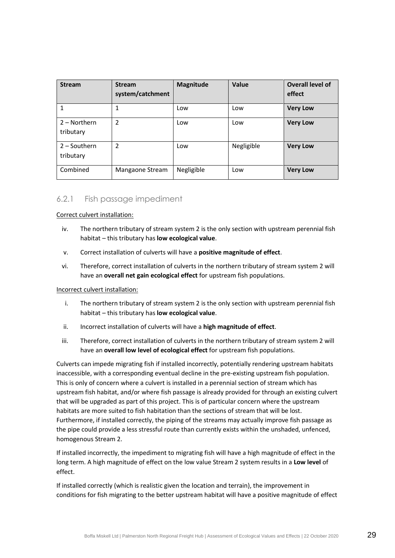| <b>Stream</b>               | <b>Stream</b><br>system/catchment | <b>Magnitude</b> | Value      | Overall level of<br>effect |
|-----------------------------|-----------------------------------|------------------|------------|----------------------------|
|                             | 1                                 | Low              | Low        | <b>Very Low</b>            |
| $2 -$ Northern<br>tributary | $\overline{2}$                    | Low              | Low        | <b>Very Low</b>            |
| $2 -$ Southern<br>tributary | $\overline{2}$                    | Low              | Negligible | <b>Very Low</b>            |
| Combined                    | Mangaone Stream                   | Negligible       | Low        | <b>Very Low</b>            |

#### 6.2.1 Fish passage impediment

Correct culvert installation:

- iv. The northern tributary of stream system 2 is the only section with upstream perennial fish habitat – this tributary has **low ecological value**.
- v. Correct installation of culverts will have a **positive magnitude of effect**.
- vi. Therefore, correct installation of culverts in the northern tributary of stream system 2 will have an **overall net gain ecological effect** for upstream fish populations.

#### Incorrect culvert installation:

- i. The northern tributary of stream system 2 is the only section with upstream perennial fish habitat – this tributary has **low ecological value**.
- ii. Incorrect installation of culverts will have a **high magnitude of effect**.
- iii. Therefore, correct installation of culverts in the northern tributary of stream system 2 will have an **overall low level of ecological effect** for upstream fish populations.

Culverts can impede migrating fish if installed incorrectly, potentially rendering upstream habitats inaccessible, with a corresponding eventual decline in the pre-existing upstream fish population. This is only of concern where a culvert is installed in a perennial section of stream which has upstream fish habitat, and/or where fish passage is already provided for through an existing culvert that will be upgraded as part of this project. This is of particular concern where the upstream habitats are more suited to fish habitation than the sections of stream that will be lost. Furthermore, if installed correctly, the piping of the streams may actually improve fish passage as the pipe could provide a less stressful route than currently exists within the unshaded, unfenced, homogenous Stream 2.

If installed incorrectly, the impediment to migrating fish will have a high magnitude of effect in the long term. A high magnitude of effect on the low value Stream 2 system results in a **Low level** of effect.

If installed correctly (which is realistic given the location and terrain), the improvement in conditions for fish migrating to the better upstream habitat will have a positive magnitude of effect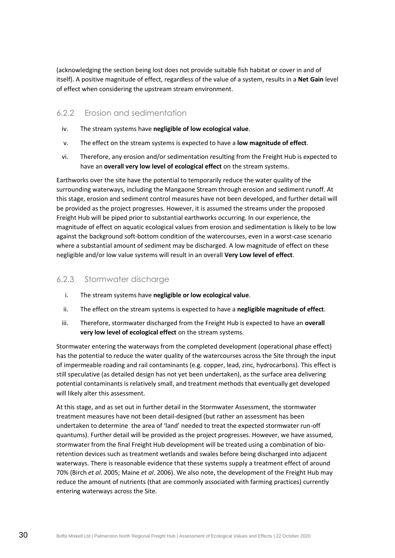(acknowledging the section being lost does not provide suitable fish habitat or cover in and of itself). A positive magnitude of effect, regardless of the value of a system, results in a **Net Gain** level of effect when considering the upstream stream environment.

#### 6.2.2 Erosion and sedimentation

- iv. The stream systems have **negligible of low ecological value**.
- v. The effect on the stream systems is expected to have a **low magnitude of effect**.
- vi. Therefore, any erosion and/or sedimentation resulting from the Freight Hub is expected to have an **overall very low level of ecological effect** on the stream systems.

Earthworks over the site have the potential to temporarily reduce the water quality of the surrounding waterways, including the Mangaone Stream through erosion and sediment runoff. At this stage, erosion and sediment control measures have not been developed, and further detail will be provided as the project progresses. However, it is assumed the streams under the proposed Freight Hub will be piped prior to substantial earthworks occurring. In our experience, the magnitude of effect on aquatic ecological values from erosion and sedimentation is likely to be low against the background soft-bottom condition of the watercourses, even in a worst-case scenario where a substantial amount of sediment may be discharged. A low magnitude of effect on these negligible and/or low value systems will result in an overall **Very Low level of effect**.

#### 6.2.3 Stormwater discharge

- i. The stream systems have **negligible or low ecological value**.
- ii. The effect on the stream systems is expected to have a **negligible magnitude of effect**.
- iii. Therefore, stormwater discharged from the Freight Hub is expected to have an **overall very low level of ecological effect** on the stream systems.

Stormwater entering the waterways from the completed development (operational phase effect) has the potential to reduce the water quality of the watercourses across the Site through the input of impermeable roading and rail contaminants (e.g. copper, lead, zinc, hydrocarbons). This effect is still speculative (as detailed design has not yet been undertaken), as the surface area delivering potential contaminants is relatively small, and treatment methods that eventually get developed will likely alter this assessment.

At this stage, and as set out in further detail in the Stormwater Assessment, the stormwater treatment measures have not been detail-designed (but rather an assessment has been undertaken to determine the area of 'land' needed to treat the expected stormwater run-off quantums). Further detail will be provided as the project progresses. However, we have assumed, stormwater from the final Freight Hub development will be treated using a combination of bioretention devices such as treatment wetlands and swales before being discharged into adjacent waterways. There is reasonable evidence that these systems supply a treatment effect of around 70% (Birch *et al*. 2005; Maine *et al*. 2006). We also note, the development of the Freight Hub may reduce the amount of nutrients (that are commonly associated with farming practices) currently entering waterways across the Site.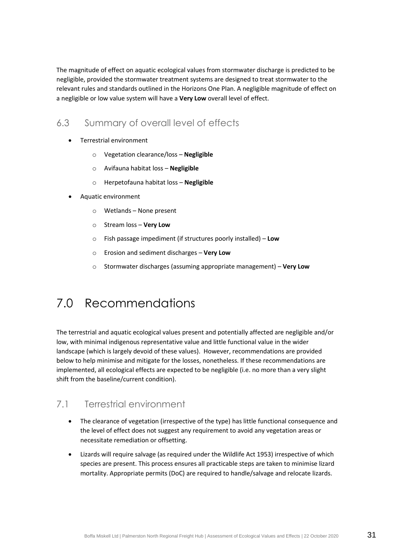The magnitude of effect on aquatic ecological values from stormwater discharge is predicted to be negligible, provided the stormwater treatment systems are designed to treat stormwater to the relevant rules and standards outlined in the Horizons One Plan. A negligible magnitude of effect on a negligible or low value system will have a **Very Low** overall level of effect.

# <span id="page-34-0"></span>6.3 Summary of overall level of effects

- Terrestrial environment
	- o Vegetation clearance/loss **Negligible**
	- o Avifauna habitat loss **Negligible**
	- o Herpetofauna habitat loss **Negligible**
- Aquatic environment
	- o Wetlands None present
	- o Stream loss **Very Low**
	- o Fish passage impediment (if structures poorly installed) **Low**
	- o Erosion and sediment discharges **Very Low**
	- o Stormwater discharges (assuming appropriate management) **Very Low**

# <span id="page-34-1"></span>7.0 Recommendations

The terrestrial and aquatic ecological values present and potentially affected are negligible and/or low, with minimal indigenous representative value and little functional value in the wider landscape (which is largely devoid of these values). However, recommendations are provided below to help minimise and mitigate for the losses, nonetheless. If these recommendations are implemented, all ecological effects are expected to be negligible (i.e. no more than a very slight shift from the baseline/current condition).

# <span id="page-34-2"></span>7.1 Terrestrial environment

- The clearance of vegetation (irrespective of the type) has little functional consequence and the level of effect does not suggest any requirement to avoid any vegetation areas or necessitate remediation or offsetting.
- Lizards will require salvage (as required under the Wildlife Act 1953) irrespective of which species are present. This process ensures all practicable steps are taken to minimise lizard mortality. Appropriate permits (DoC) are required to handle/salvage and relocate lizards.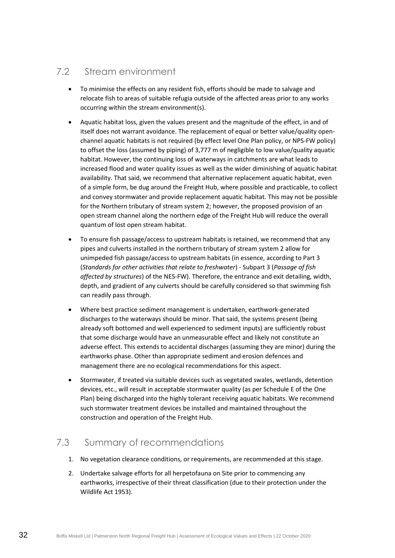# <span id="page-35-0"></span>7.2 Stream environment

- To minimise the effects on any resident fish, efforts should be made to salvage and relocate fish to areas of suitable refugia outside of the affected areas prior to any works occurring within the stream environment(s).
- Aquatic habitat loss, given the values present and the magnitude of the effect, in and of itself does not warrant avoidance. The replacement of equal or better value/quality openchannel aquatic habitats is not required (by effect level One Plan policy, or NPS-FW policy) to offset the loss (assumed by piping) of 3,777 m of negligible to low value/quality aquatic habitat. However, the continuing loss of waterways in catchments are what leads to increased flood and water quality issues as well as the wider diminishing of aquatic habitat availability. That said, we recommend that alternative replacement aquatic habitat, even of a simple form, be dug around the Freight Hub, where possible and practicable, to collect and convey stormwater and provide replacement aquatic habitat. This may not be possible for the Northern tributary of stream system 2; however, the proposed provision of an open stream channel along the northern edge of the Freight Hub will reduce the overall quantum of lost open stream habitat.
- To ensure fish passage/access to upstream habitats is retained, we recommend that any pipes and culverts installed in the northern tributary of stream system 2 allow for unimpeded fish passage/access to upstream habitats (in essence, according to Part 3 (*Standards for other activities that relate to freshwater*) - Subpart 3 (*Passage of fish affected by structures*) of the NES-FW). Therefore, the entrance and exit detailing, width, depth, and gradient of any culverts should be carefully considered so that swimming fish can readily pass through.
- Where best practice sediment management is undertaken, earthwork-generated discharges to the waterways should be minor. That said, the systems present (being already soft bottomed and well experienced to sediment inputs) are sufficiently robust that some discharge would have an unmeasurable effect and likely not constitute an adverse effect. This extends to accidental discharges (assuming they are minor) during the earthworks phase. Other than appropriate sediment and erosion defences and management there are no ecological recommendations for this aspect.
- Stormwater, if treated via suitable devices such as vegetated swales, wetlands, detention devices, etc., will result in acceptable stormwater quality (as per Schedule E of the One Plan) being discharged into the highly tolerant receiving aquatic habitats. We recommend such stormwater treatment devices be installed and maintained throughout the construction and operation of the Freight Hub.

# <span id="page-35-1"></span>7.3 Summary of recommendations

- 1. No vegetation clearance conditions, or requirements, are recommended at this stage.
- 2. Undertake salvage efforts for all herpetofauna on Site prior to commencing any earthworks, irrespective of their threat classification (due to their protection under the Wildlife Act 1953).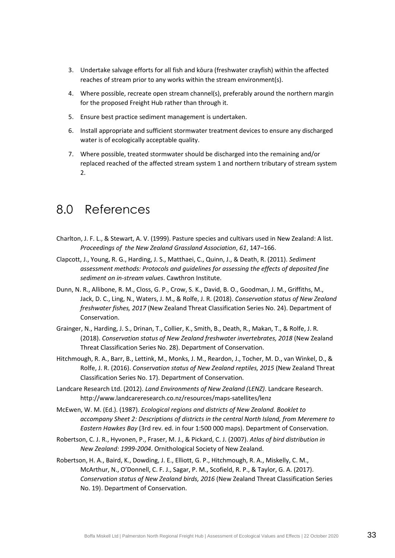- 3. Undertake salvage efforts for all fish and kōura (freshwater crayfish) within the affected reaches of stream prior to any works within the stream environment(s).
- 4. Where possible, recreate open stream channel(s), preferably around the northern margin for the proposed Freight Hub rather than through it.
- 5. Ensure best practice sediment management is undertaken.
- 6. Install appropriate and sufficient stormwater treatment devices to ensure any discharged water is of ecologically acceptable quality.
- 7. Where possible, treated stormwater should be discharged into the remaining and/or replaced reached of the affected stream system 1 and northern tributary of stream system 2.

# <span id="page-36-0"></span>8.0 References

- Charlton, J. F. L., & Stewart, A. V. (1999). Pasture species and cultivars used in New Zealand: A list. *Proceedings of the New Zealand Grassland Association*, *61*, 147–166.
- Clapcott, J., Young, R. G., Harding, J. S., Matthaei, C., Quinn, J., & Death, R. (2011). *Sediment assessment methods: Protocols and guidelines for assessing the effects of deposited fine sediment on in-stream values*. Cawthron Institute.
- Dunn, N. R., Allibone, R. M., Closs, G. P., Crow, S. K., David, B. O., Goodman, J. M., Griffiths, M., Jack, D. C., Ling, N., Waters, J. M., & Rolfe, J. R. (2018). *Conservation status of New Zealand freshwater fishes, 2017* (New Zealand Threat Classification Series No. 24). Department of Conservation.
- Grainger, N., Harding, J. S., Drinan, T., Collier, K., Smith, B., Death, R., Makan, T., & Rolfe, J. R. (2018). *Conservation status of New Zealand freshwater invertebrates, 2018* (New Zealand Threat Classification Series No. 28). Department of Conservation.
- Hitchmough, R. A., Barr, B., Lettink, M., Monks, J. M., Reardon, J., Tocher, M. D., van Winkel, D., & Rolfe, J. R. (2016). *Conservation status of New Zealand reptiles, 2015* (New Zealand Threat Classification Series No. 17). Department of Conservation.
- Landcare Research Ltd. (2012). *Land Environments of New Zealand (LENZ)*. Landcare Research. http://www.landcareresearch.co.nz/resources/maps-satellites/lenz
- McEwen, W. M. (Ed.). (1987). *Ecological regions and districts of New Zealand. Booklet to accompany Sheet 2: Descriptions of districts in the central North Island, from Meremere to Eastern Hawkes Bay* (3rd rev. ed. in four 1:500 000 maps). Department of Conservation.
- Robertson, C. J. R., Hyvonen, P., Fraser, M. J., & Pickard, C. J. (2007). *Atlas of bird distribution in New Zealand: 1999-2004*. Ornithological Society of New Zealand.
- Robertson, H. A., Baird, K., Dowding, J. E., Elliott, G. P., Hitchmough, R. A., Miskelly, C. M., McArthur, N., O'Donnell, C. F. J., Sagar, P. M., Scofield, R. P., & Taylor, G. A. (2017). *Conservation status of New Zealand birds, 2016* (New Zealand Threat Classification Series No. 19). Department of Conservation.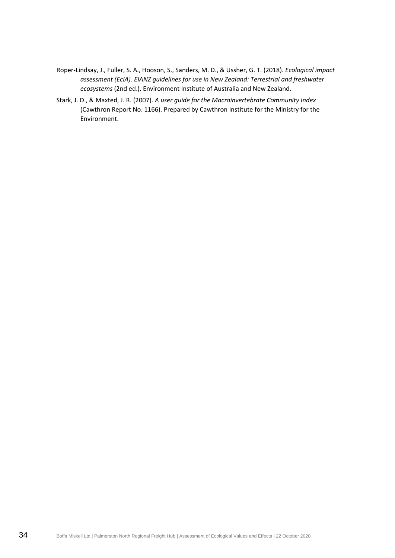- Roper-Lindsay, J., Fuller, S. A., Hooson, S., Sanders, M. D., & Ussher, G. T. (2018). *Ecological impact assessment (EcIA). EIANZ guidelines for use in New Zealand: Terrestrial and freshwater ecosystems* (2nd ed.). Environment Institute of Australia and New Zealand.
- Stark, J. D., & Maxted, J. R. (2007). *A user guide for the Macroinvertebrate Community Index* (Cawthron Report No. 1166). Prepared by Cawthron Institute for the Ministry for the Environment.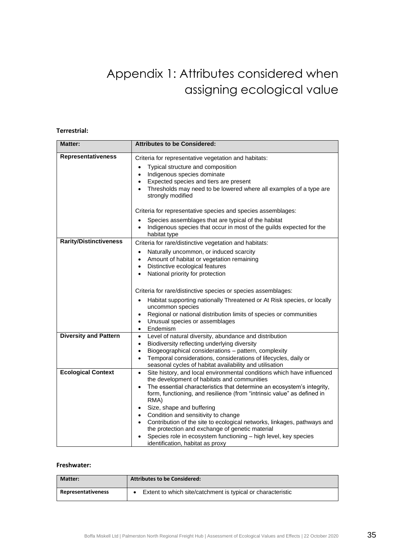# Appendix 1: Attributes considered when assigning ecological value

#### **Terrestrial:**

| <b>Matter:</b>                | <b>Attributes to be Considered:</b>                                                                                                                                                                                                                                                                                                                                                                                                                                                                                                                                                                                                |
|-------------------------------|------------------------------------------------------------------------------------------------------------------------------------------------------------------------------------------------------------------------------------------------------------------------------------------------------------------------------------------------------------------------------------------------------------------------------------------------------------------------------------------------------------------------------------------------------------------------------------------------------------------------------------|
| <b>Representativeness</b>     | Criteria for representative vegetation and habitats:<br>Typical structure and composition<br>$\bullet$<br>Indigenous species dominate<br>$\bullet$<br>Expected species and tiers are present<br>$\bullet$<br>Thresholds may need to be lowered where all examples of a type are<br>strongly modified                                                                                                                                                                                                                                                                                                                               |
|                               | Criteria for representative species and species assemblages:                                                                                                                                                                                                                                                                                                                                                                                                                                                                                                                                                                       |
|                               | Species assemblages that are typical of the habitat<br>Indigenous species that occur in most of the guilds expected for the<br>habitat type                                                                                                                                                                                                                                                                                                                                                                                                                                                                                        |
| <b>Rarity/Distinctiveness</b> | Criteria for rare/distinctive vegetation and habitats:                                                                                                                                                                                                                                                                                                                                                                                                                                                                                                                                                                             |
|                               | Naturally uncommon, or induced scarcity<br>$\bullet$<br>Amount of habitat or vegetation remaining<br>$\bullet$<br>Distinctive ecological features<br>$\bullet$<br>National priority for protection<br>$\bullet$                                                                                                                                                                                                                                                                                                                                                                                                                    |
|                               | Criteria for rare/distinctive species or species assemblages:                                                                                                                                                                                                                                                                                                                                                                                                                                                                                                                                                                      |
|                               | Habitat supporting nationally Threatened or At Risk species, or locally<br>uncommon species<br>Regional or national distribution limits of species or communities<br>$\bullet$<br>Unusual species or assemblages<br>$\bullet$<br>Endemism<br>$\bullet$                                                                                                                                                                                                                                                                                                                                                                             |
| <b>Diversity and Pattern</b>  | Level of natural diversity, abundance and distribution<br>$\bullet$<br>Biodiversity reflecting underlying diversity<br>$\bullet$<br>Biogeographical considerations - pattern, complexity<br>$\bullet$<br>Temporal considerations, considerations of lifecycles, daily or<br>$\bullet$<br>seasonal cycles of habitat availability and utilisation                                                                                                                                                                                                                                                                                   |
| <b>Ecological Context</b>     | Site history, and local environmental conditions which have influenced<br>$\bullet$<br>the development of habitats and communities<br>The essential characteristics that determine an ecosystem's integrity,<br>form, functioning, and resilience (from "intrinsic value" as defined in<br>RMA)<br>Size, shape and buffering<br>$\bullet$<br>Condition and sensitivity to change<br>$\bullet$<br>Contribution of the site to ecological networks, linkages, pathways and<br>the protection and exchange of genetic material<br>Species role in ecosystem functioning - high level, key species<br>identification, habitat as proxy |

#### **Freshwater:**

| Matter:                   | <b>Attributes to be Considered:</b>                         |
|---------------------------|-------------------------------------------------------------|
| <b>Representativeness</b> | Extent to which site/catchment is typical or characteristic |